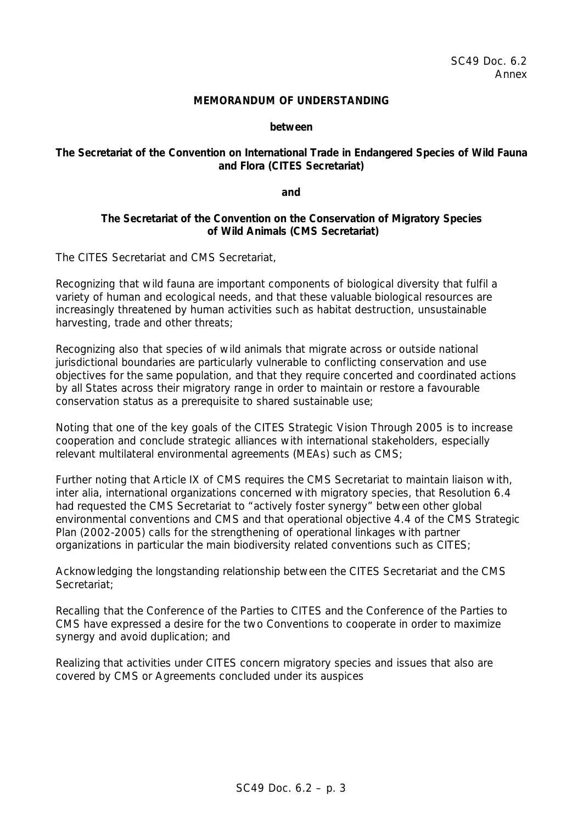### **MEMORANDUM OF UNDERSTANDING**

#### **between**

## **The Secretariat of the Convention on International Trade in Endangered Species of Wild Fauna and Flora (CITES Secretariat)**

**and**

## **The Secretariat of the Convention on the Conservation of Migratory Species of Wild Animals (CMS Secretariat)**

The CITES Secretariat and CMS Secretariat,

*Recognizing* that wild fauna are important components of biological diversity that fulfil a variety of human and ecological needs, and that these valuable biological resources are increasingly threatened by human activities such as habitat destruction, unsustainable harvesting, trade and other threats;

*Recognizing also* that species of wild animals that migrate across or outside national jurisdictional boundaries are particularly vulnerable to conflicting conservation and use objectives for the same population, and that they require concerted and coordinated actions by all States across their migratory range in order to maintain or restore a favourable conservation status as a prerequisite to shared sustainable use;

*Noting* that one of the key goals of the CITES Strategic Vision Through 2005 is to increase cooperation and conclude strategic alliances with international stakeholders, especially relevant multilateral environmental agreements (MEAs) such as CMS;

*Further noting* that Article IX of CMS requires the CMS Secretariat to maintain liaison with, *inter alia*, international organizations concerned with migratory species, that Resolution 6.4 had requested the CMS Secretariat to "actively foster synergy" between other global environmental conventions and CMS and that operational objective 4.4 of the CMS Strategic Plan (2002-2005) calls for the strengthening of operational linkages with partner organizations in particular the main biodiversity related conventions such as CITES;

*Acknowledging* the longstanding relationship between the CITES Secretariat and the CMS Secretariat:

*Recalling* that the Conference of the Parties to CITES and the Conference of the Parties to CMS have expressed a desire for the two Conventions to cooperate in order to maximize synergy and avoid duplication; and

*Realizing* that activities under CITES concern migratory species and issues that also are covered by CMS or Agreements concluded under its auspices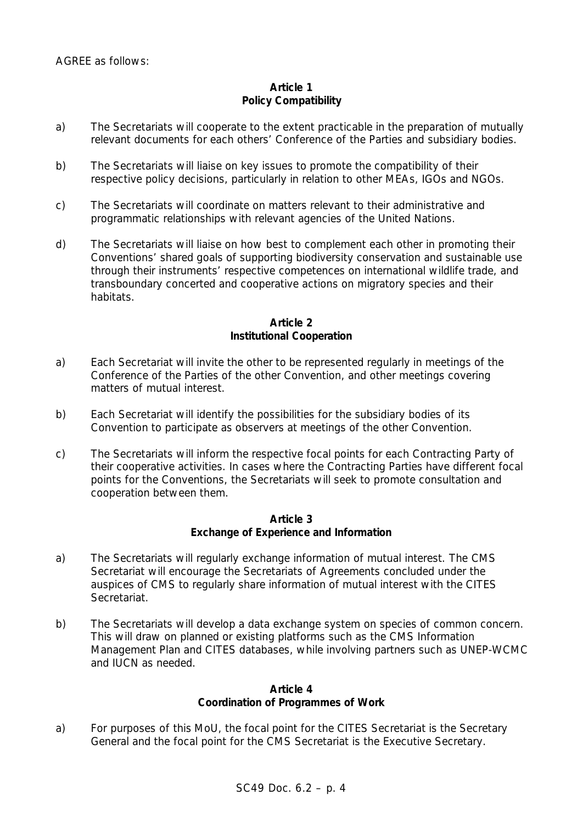# **Article 1 Policy Compatibility**

- a) The Secretariats will cooperate to the extent practicable in the preparation of mutually relevant documents for each others' Conference of the Parties and subsidiary bodies.
- b) The Secretariats will liaise on key issues to promote the compatibility of their respective policy decisions, particularly in relation to other MEAs, IGOs and NGOs.
- c) The Secretariats will coordinate on matters relevant to their administrative and programmatic relationships with relevant agencies of the United Nations.
- d) The Secretariats will liaise on how best to complement each other in promoting their Conventions' shared goals of supporting biodiversity conservation and sustainable use through their instruments' respective competences on international wildlife trade, and transboundary concerted and cooperative actions on migratory species and their habitats.

# **Article 2 Institutional Cooperation**

- a) Each Secretariat will invite the other to be represented regularly in meetings of the Conference of the Parties of the other Convention, and other meetings covering matters of mutual interest.
- b) Each Secretariat will identify the possibilities for the subsidiary bodies of its Convention to participate as observers at meetings of the other Convention.
- c) The Secretariats will inform the respective focal points for each Contracting Party of their cooperative activities. In cases where the Contracting Parties have different focal points for the Conventions, the Secretariats will seek to promote consultation and cooperation between them.

### **Article 3 Exchange of Experience and Information**

- a) The Secretariats will regularly exchange information of mutual interest. The CMS Secretariat will encourage the Secretariats of Agreements concluded under the auspices of CMS to regularly share information of mutual interest with the CITES Secretariat.
- b) The Secretariats will develop a data exchange system on species of common concern. This will draw on planned or existing platforms such as the CMS Information Management Plan and CITES databases, while involving partners such as UNEP-WCMC and IUCN as needed.

### **Article 4 Coordination of Programmes of Work**

a) For purposes of this MoU, the focal point for the CITES Secretariat is the Secretary General and the focal point for the CMS Secretariat is the Executive Secretary.